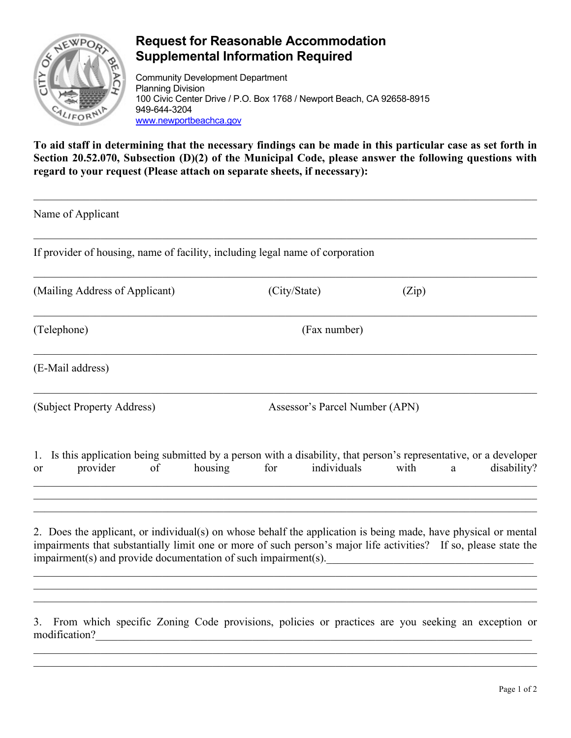

modification?

## **Request for Reasonable Accommodation Supplemental Information Required**

Community Development Department Planning Division 100 Civic Center Drive / P.O. Box 1768 / Newport Beach, CA 92658-8915 949-644-3204 [www.newportbeachca.gov](http://www.newportbeachca.gov/)

**To aid staff in determining that the necessary findings can be made in this particular case as set forth in Section 20.52.070, Subsection (D)(2) of the Municipal Code, please answer the following questions with regard to your request (Please attach on separate sheets, if necessary):** 

| Name of Applicant                                                                                                                                                                                                                                                                                    |                                |                                                                                                   |
|------------------------------------------------------------------------------------------------------------------------------------------------------------------------------------------------------------------------------------------------------------------------------------------------------|--------------------------------|---------------------------------------------------------------------------------------------------|
| If provider of housing, name of facility, including legal name of corporation                                                                                                                                                                                                                        |                                |                                                                                                   |
| (Mailing Address of Applicant)                                                                                                                                                                                                                                                                       | (City/State)                   | (Zip)                                                                                             |
| (Telephone)                                                                                                                                                                                                                                                                                          | (Fax number)                   |                                                                                                   |
| (E-Mail address)                                                                                                                                                                                                                                                                                     |                                |                                                                                                   |
| (Subject Property Address)                                                                                                                                                                                                                                                                           | Assessor's Parcel Number (APN) |                                                                                                   |
| Is this application being submitted by a person with a disability, that person's representative, or a developer<br>1.<br>provider<br>housing<br>of<br><b>or</b>                                                                                                                                      | individuals<br>for             | with<br>disability?<br>a                                                                          |
| 2. Does the applicant, or individual(s) on whose behalf the application is being made, have physical or mental<br>impairments that substantially limit one or more of such person's major life activities? If so, please state the<br>impairment(s) and provide documentation of such impairment(s). |                                | <u> 1980 - Jan Barbara, martin da kasar Amerikaan kasar Indonesia.</u>                            |
| 3.                                                                                                                                                                                                                                                                                                   |                                | From which specific Zoning Code provisions, policies or practices are you seeking an exception or |

 $\mathcal{L}_\mathcal{L} = \{ \mathcal{L}_\mathcal{L} = \{ \mathcal{L}_\mathcal{L} = \{ \mathcal{L}_\mathcal{L} = \{ \mathcal{L}_\mathcal{L} = \{ \mathcal{L}_\mathcal{L} = \{ \mathcal{L}_\mathcal{L} = \{ \mathcal{L}_\mathcal{L} = \{ \mathcal{L}_\mathcal{L} = \{ \mathcal{L}_\mathcal{L} = \{ \mathcal{L}_\mathcal{L} = \{ \mathcal{L}_\mathcal{L} = \{ \mathcal{L}_\mathcal{L} = \{ \mathcal{L}_\mathcal{L} = \{ \mathcal{L}_\mathcal{$ 

Page 1 of 2